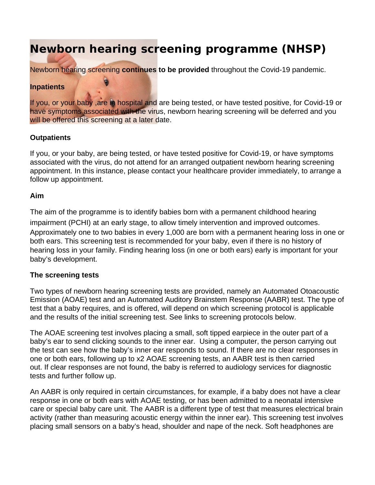# **Newborn hearing screening programme (NHSP)**

Newborn hearing screening **continues to be provided** throughout the Covid-19 pandemic.

#### **Inpatients**

If you, or your baby ,are in hospital and are being tested, or have tested positive, for Covid-19 or have symptoms associated with the virus, newborn hearing screening will be deferred and you will be offered this screening at a later date.

#### **Outpatients**

If you, or your baby, are being tested, or have tested positive for Covid-19, or have symptoms associated with the virus, do not attend for an arranged outpatient newborn hearing screening appointment. In this instance, please contact your healthcare provider immediately, to arrange a follow up appointment.

#### **Aim**

The aim of the programme is to identify babies born with a permanent childhood hearing impairment (PCHI) at an early stage, to allow timely intervention and improved outcomes. Approximately one to two babies in every 1,000 are born with a permanent hearing loss in one or both ears. This screening test is recommended for your baby, even if there is no history of hearing loss in your family. Finding hearing loss (in one or both ears) early is important for your baby's development.

#### **The screening tests**

Two types of newborn hearing screening tests are provided, namely an Automated Otoacoustic Emission (AOAE) test and an Automated Auditory Brainstem Response (AABR) test. The type of test that a baby requires, and is offered, will depend on which screening protocol is applicable and the results of the initial screening test. See links to screening protocols below.

The AOAE screening test involves placing a small, soft tipped earpiece in the outer part of a baby's ear to send clicking sounds to the inner ear. Using a computer, the person carrying out the test can see how the baby's inner ear responds to sound. If there are no clear responses in one or both ears, following up to x2 AOAE screening tests, an AABR test is then carried out. If clear responses are not found, the baby is referred to audiology services for diagnostic tests and further follow up.

An AABR is only required in certain circumstances, for example, if a baby does not have a clear response in one or both ears with AOAE testing, or has been admitted to a neonatal intensive care or special baby care unit. The AABR is a different type of test that measures electrical brain activity (rather than measuring acoustic energy within the inner ear). This screening test involves placing small sensors on a baby's head, shoulder and nape of the neck. Soft headphones are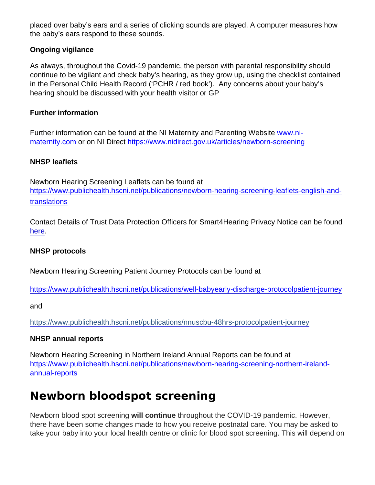placed over baby's ears and a series of clicking sounds are played. A computer measures how the baby's ears respond to these sounds.

Ongoing vigilance

As always, throughout the Covid-19 pandemic, the person with parental responsibility should continue to be vigilant and check baby's hearing, as they grow up, using the checklist contained in the Personal Child Health Record ('PCHR / red book'). Any concerns about your baby's hearing should be discussed with your health visitor or GP

Further information

Further information can be found at the NI Maternity and Parenting Website [www.ni](http://www.ni-maternity.com/)[maternity.com](http://www.ni-maternity.com/) or on NI Direct<https://www.nidirect.gov.uk/articles/newborn-screening>

NHSP leaflets

Newborn Hearing Screening Leaflets can be found at [https://www.publichealth.hscni.net/publications/newborn-hearing-screening-leaflets-english-and](https://www.publichealth.hscni.net/publications/newborn-hearing-screening-leaflets-english-and-translations)[translations](https://www.publichealth.hscni.net/publications/newborn-hearing-screening-leaflets-english-and-translations)

Contact Details of Trust Data Protection Officers for Smart4Hearing Privacy Notice can be found [here](https://www.publichealth.hscni.net/sites/default/files/2021-03/Trust data protection officers_March 2021.pdf).

NHSP protocols

Newborn Hearing Screening Patient Journey Protocols can be found at

<https://www.publichealth.hscni.net/publications/well-babyearly-discharge-protocolpatient-journey>

and

<https://www.publichealth.hscni.net/publications/nnuscbu-48hrs-protocolpatient-journey>

NHSP annual reports

Newborn Hearing Screening in Northern Ireland Annual Reports can be found at [https://www.publichealth.hscni.net/publications/newborn-hearing-screening-northern-ireland](https://www.publichealth.hscni.net/publications/newborn-hearing-screening-northern-ireland-annual-reports)[annual-reports](https://www.publichealth.hscni.net/publications/newborn-hearing-screening-northern-ireland-annual-reports)

## Newborn bloodspot screening

Newborn blood spot screening will continue throughout the COVID-19 pandemic. However, there have been some changes made to how you receive postnatal care. You may be asked to take your baby into your local health centre or clinic for blood spot screening. This will depend on